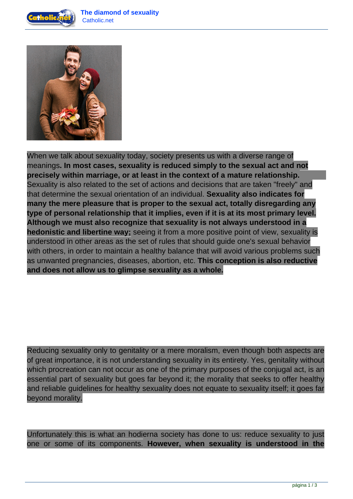



When we talk about sexuality today, society presents us with a diverse range of meanings**. In most cases, sexuality is reduced simply to the sexual act and not precisely within marriage, or at least in the context of a mature relationship.** Sexuality is also related to the set of actions and decisions that are taken "freely" and that determine the sexual orientation of an individual. **Sexuality also indicates for many the mere pleasure that is proper to the sexual act, totally disregarding any type of personal relationship that it implies, even if it is at its most primary level. Although we must also recognize that sexuality is not always understood in a hedonistic and libertine way;** seeing it from a more positive point of view, sexuality is understood in other areas as the set of rules that should guide one's sexual behavior with others, in order to maintain a healthy balance that will avoid various problems such as unwanted pregnancies, diseases, abortion, etc. **This conception is also reductive and does not allow us to glimpse sexuality as a whole.**

Reducing sexuality only to genitality or a mere moralism, even though both aspects are of great importance, it is not understanding sexuality in its entirety. Yes, genitality without which procreation can not occur as one of the primary purposes of the conjugal act, is an essential part of sexuality but goes far beyond it; the morality that seeks to offer healthy and reliable guidelines for healthy sexuality does not equate to sexuality itself; it goes far beyond morality.

Unfortunately this is what an hodierna society has done to us: reduce sexuality to just one or some of its components. **However, when sexuality is understood in the**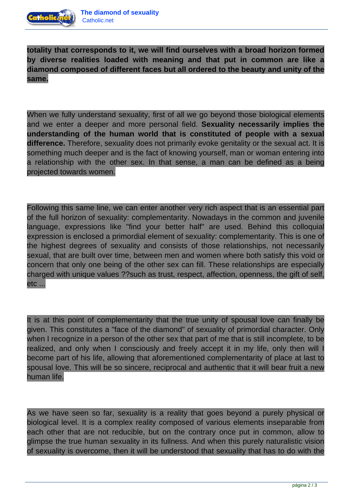

**totality that corresponds to it, we will find ourselves with a broad horizon formed by diverse realities loaded with meaning and that put in common are like a diamond composed of different faces but all ordered to the beauty and unity of the same.**

When we fully understand sexuality, first of all we go beyond those biological elements and we enter a deeper and more personal field. **Sexuality necessarily implies the understanding of the human world that is constituted of people with a sexual difference.** Therefore, sexuality does not primarily evoke genitality or the sexual act. It is something much deeper and is the fact of knowing yourself, man or woman entering into a relationship with the other sex. In that sense, a man can be defined as a being projected towards women.

Following this same line, we can enter another very rich aspect that is an essential part of the full horizon of sexuality: complementarity. Nowadays in the common and juvenile language, expressions like "find your better half" are used. Behind this colloquial expression is enclosed a primordial element of sexuality: complementarity. This is one of the highest degrees of sexuality and consists of those relationships, not necessarily sexual, that are built over time, between men and women where both satisfy this void or concern that only one being of the other sex can fill. These relationships are especially charged with unique values ??such as trust, respect, affection, openness, the gift of self, etc ...

It is at this point of complementarity that the true unity of spousal love can finally be given. This constitutes a "face of the diamond" of sexuality of primordial character. Only when I recognize in a person of the other sex that part of me that is still incomplete, to be realized, and only when I consciously and freely accept it in my life, only then will I become part of his life, allowing that aforementioned complementarity of place at last to spousal love. This will be so sincere, reciprocal and authentic that it will bear fruit a new human life.

As we have seen so far, sexuality is a reality that goes beyond a purely physical or biological level. It is a complex reality composed of various elements inseparable from each other that are not reducible, but on the contrary once put in common, allow to glimpse the true human sexuality in its fullness. And when this purely naturalistic vision of sexuality is overcome, then it will be understood that sexuality that has to do with the